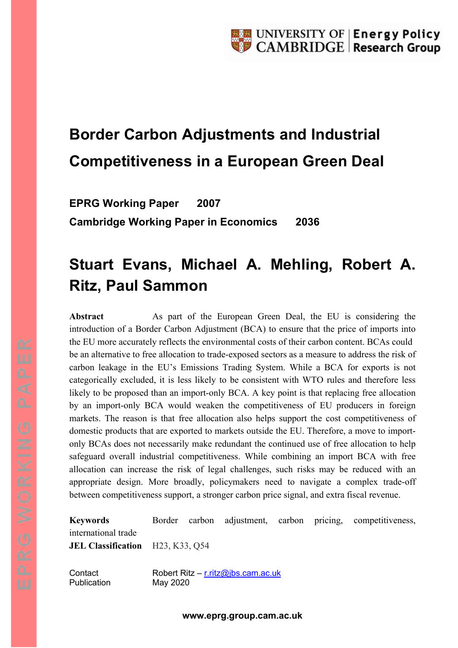# **Border Carbon Adjustments and Industrial Competitiveness in a European Green Deal**

**EPRG Working Paper 2007 Cambridge Working Paper in Economics 2036**

## **Stuart Evans, Michael A. Mehling, Robert A. Ritz, Paul Sammon**

**Abstract** As part of the European Green Deal, the EU is considering the introduction of a Border Carbon Adjustment (BCA) to ensure that the price of imports into the EU more accurately reflects the environmental costs of their carbon content. BCAs could be an alternative to free allocation to trade-exposed sectors as a measure to address the risk of carbon leakage in the EU's Emissions Trading System. While a BCA for exports is not categorically excluded, it is less likely to be consistent with WTO rules and therefore less likely to be proposed than an import-only BCA. A key point is that replacing free allocation by an import-only BCA would weaken the competitiveness of EU producers in foreign markets. The reason is that free allocation also helps support the cost competitiveness of domestic products that are exported to markets outside the EU. Therefore, a move to importonly BCAs does not necessarily make redundant the continued use of free allocation to help safeguard overall industrial competitiveness. While combining an import BCA with free allocation can increase the risk of legal challenges, such risks may be reduced with an appropriate design. More broadly, policymakers need to navigate a complex trade-off between competitiveness support, a stronger carbon price signal, and extra fiscal revenue.

**Keywords** Border carbon adjustment, carbon pricing, competitiveness, international trade **JEL Classification** H23, K33, Q54

Publication May 2020

Contact Robert Ritz – r.ritz@jbs.cam.ac.uk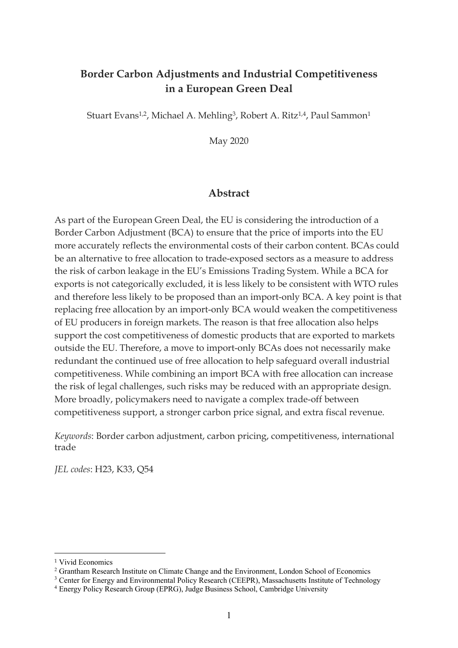#### **Border Carbon Adjustments and Industrial Competitiveness in a European Green Deal**

Stuart Evans<sup>1,2</sup>, Michael A. Mehling<sup>3</sup>, Robert A. Ritz<sup>1,4</sup>, Paul Sammon<sup>1</sup>

May 2020

#### **Abstract**

As part of the European Green Deal, the EU is considering the introduction of a Border Carbon Adjustment (BCA) to ensure that the price of imports into the EU more accurately reflects the environmental costs of their carbon content. BCAs could be an alternative to free allocation to trade-exposed sectors as a measure to address the risk of carbon leakage in the EU's Emissions Trading System. While a BCA for exports is not categorically excluded, it is less likely to be consistent with WTO rules and therefore less likely to be proposed than an import-only BCA. A key point is that replacing free allocation by an import-only BCA would weaken the competitiveness of EU producers in foreign markets. The reason is that free allocation also helps support the cost competitiveness of domestic products that are exported to markets outside the EU. Therefore, a move to import-only BCAs does not necessarily make redundant the continued use of free allocation to help safeguard overall industrial competitiveness. While combining an import BCA with free allocation can increase the risk of legal challenges, such risks may be reduced with an appropriate design. More broadly, policymakers need to navigate a complex trade-off between competitiveness support, a stronger carbon price signal, and extra fiscal revenue.

*Keywords*: Border carbon adjustment, carbon pricing, competitiveness, international trade

*JEL codes*: H23, K33, Q54

 $\overline{a}$ 

<sup>1</sup> Vivid Economics

<sup>&</sup>lt;sup>2</sup> Grantham Research Institute on Climate Change and the Environment, London School of Economics

<sup>&</sup>lt;sup>3</sup> Center for Energy and Environmental Policy Research (CEEPR), Massachusetts Institute of Technology <sup>4</sup> Energy Policy Research Group (EPRG), Judge Business School, Cambridge University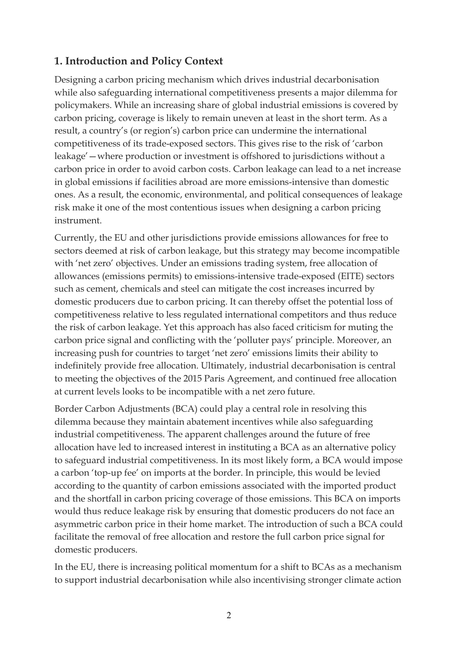## **1. Introduction and Policy Context**

Designing a carbon pricing mechanism which drives industrial decarbonisation while also safeguarding international competitiveness presents a major dilemma for policymakers. While an increasing share of global industrial emissions is covered by carbon pricing, coverage is likely to remain uneven at least in the short term. As a result, a country's (or region's) carbon price can undermine the international competitiveness of its trade-exposed sectors. This gives rise to the risk of 'carbon leakage'—where production or investment is offshored to jurisdictions without a carbon price in order to avoid carbon costs. Carbon leakage can lead to a net increase in global emissions if facilities abroad are more emissions-intensive than domestic ones. As a result, the economic, environmental, and political consequences of leakage risk make it one of the most contentious issues when designing a carbon pricing instrument.

Currently, the EU and other jurisdictions provide emissions allowances for free to sectors deemed at risk of carbon leakage, but this strategy may become incompatible with 'net zero' objectives. Under an emissions trading system, free allocation of allowances (emissions permits) to emissions-intensive trade-exposed (EITE) sectors such as cement, chemicals and steel can mitigate the cost increases incurred by domestic producers due to carbon pricing. It can thereby offset the potential loss of competitiveness relative to less regulated international competitors and thus reduce the risk of carbon leakage. Yet this approach has also faced criticism for muting the carbon price signal and conflicting with the 'polluter pays' principle. Moreover, an increasing push for countries to target 'net zero' emissions limits their ability to indefinitely provide free allocation. Ultimately, industrial decarbonisation is central to meeting the objectives of the 2015 Paris Agreement, and continued free allocation at current levels looks to be incompatible with a net zero future.

Border Carbon Adjustments (BCA) could play a central role in resolving this dilemma because they maintain abatement incentives while also safeguarding industrial competitiveness. The apparent challenges around the future of free allocation have led to increased interest in instituting a BCA as an alternative policy to safeguard industrial competitiveness. In its most likely form, a BCA would impose a carbon 'top-up fee' on imports at the border. In principle, this would be levied according to the quantity of carbon emissions associated with the imported product and the shortfall in carbon pricing coverage of those emissions. This BCA on imports would thus reduce leakage risk by ensuring that domestic producers do not face an asymmetric carbon price in their home market. The introduction of such a BCA could facilitate the removal of free allocation and restore the full carbon price signal for domestic producers.

In the EU, there is increasing political momentum for a shift to BCAs as a mechanism to support industrial decarbonisation while also incentivising stronger climate action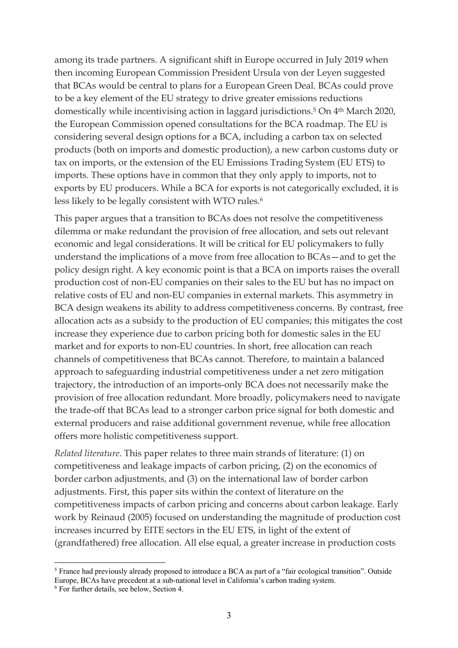among its trade partners. A significant shift in Europe occurred in July 2019 when then incoming European Commission President Ursula von der Leyen suggested that BCAs would be central to plans for a European Green Deal. BCAs could prove to be a key element of the EU strategy to drive greater emissions reductions domestically while incentivising action in laggard jurisdictions.5 On 4th March 2020, the European Commission opened consultations for the BCA roadmap. The EU is considering several design options for a BCA, including a carbon tax on selected products (both on imports and domestic production), a new carbon customs duty or tax on imports, or the extension of the EU Emissions Trading System (EU ETS) to imports. These options have in common that they only apply to imports, not to exports by EU producers. While a BCA for exports is not categorically excluded, it is less likely to be legally consistent with WTO rules.6

This paper argues that a transition to BCAs does not resolve the competitiveness dilemma or make redundant the provision of free allocation, and sets out relevant economic and legal considerations. It will be critical for EU policymakers to fully understand the implications of a move from free allocation to BCAs—and to get the policy design right. A key economic point is that a BCA on imports raises the overall production cost of non-EU companies on their sales to the EU but has no impact on relative costs of EU and non-EU companies in external markets. This asymmetry in BCA design weakens its ability to address competitiveness concerns. By contrast, free allocation acts as a subsidy to the production of EU companies; this mitigates the cost increase they experience due to carbon pricing both for domestic sales in the EU market and for exports to non-EU countries. In short, free allocation can reach channels of competitiveness that BCAs cannot. Therefore, to maintain a balanced approach to safeguarding industrial competitiveness under a net zero mitigation trajectory, the introduction of an imports-only BCA does not necessarily make the provision of free allocation redundant. More broadly, policymakers need to navigate the trade-off that BCAs lead to a stronger carbon price signal for both domestic and external producers and raise additional government revenue, while free allocation offers more holistic competitiveness support.

*Related literature*. This paper relates to three main strands of literature: (1) on competitiveness and leakage impacts of carbon pricing, (2) on the economics of border carbon adjustments, and (3) on the international law of border carbon adjustments. First, this paper sits within the context of literature on the competitiveness impacts of carbon pricing and concerns about carbon leakage. Early work by Reinaud (2005) focused on understanding the magnitude of production cost increases incurred by EITE sectors in the EU ETS, in light of the extent of (grandfathered) free allocation. All else equal, a greater increase in production costs

 <sup>5</sup> France had previously already proposed to introduce a BCA as part of a "fair ecological transition". Outside Europe, BCAs have precedent at a sub-national level in California's carbon trading system.

<sup>6</sup> For further details, see below, Section 4.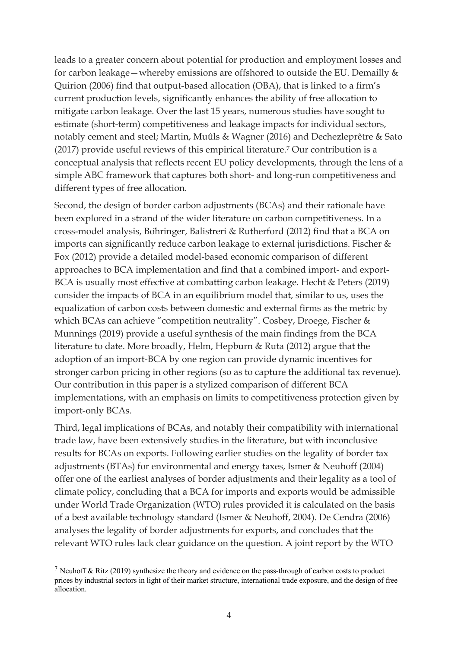leads to a greater concern about potential for production and employment losses and for carbon leakage—whereby emissions are offshored to outside the EU. Demailly  $&$ Quirion (2006) find that output-based allocation (OBA), that is linked to a firm's current production levels, significantly enhances the ability of free allocation to mitigate carbon leakage. Over the last 15 years, numerous studies have sought to estimate (short-term) competitiveness and leakage impacts for individual sectors, notably cement and steel; Martin, Muûls & Wagner (2016) and Dechezleprêtre & Sato (2017) provide useful reviews of this empirical literature.7 Our contribution is a conceptual analysis that reflects recent EU policy developments, through the lens of a simple ABC framework that captures both short- and long-run competitiveness and different types of free allocation.

Second, the design of border carbon adjustments (BCAs) and their rationale have been explored in a strand of the wider literature on carbon competitiveness. In a cross-model analysis, Böhringer, Balistreri & Rutherford (2012) find that a BCA on imports can significantly reduce carbon leakage to external jurisdictions. Fischer & Fox (2012) provide a detailed model-based economic comparison of different approaches to BCA implementation and find that a combined import- and export-BCA is usually most effective at combatting carbon leakage. Hecht & Peters (2019) consider the impacts of BCA in an equilibrium model that, similar to us, uses the equalization of carbon costs between domestic and external firms as the metric by which BCAs can achieve "competition neutrality". Cosbey, Droege, Fischer & Munnings (2019) provide a useful synthesis of the main findings from the BCA literature to date. More broadly, Helm, Hepburn & Ruta (2012) argue that the adoption of an import-BCA by one region can provide dynamic incentives for stronger carbon pricing in other regions (so as to capture the additional tax revenue). Our contribution in this paper is a stylized comparison of different BCA implementations, with an emphasis on limits to competitiveness protection given by import-only BCAs.

Third, legal implications of BCAs, and notably their compatibility with international trade law, have been extensively studies in the literature, but with inconclusive results for BCAs on exports. Following earlier studies on the legality of border tax adjustments (BTAs) for environmental and energy taxes, Ismer & Neuhoff (2004) offer one of the earliest analyses of border adjustments and their legality as a tool of climate policy, concluding that a BCA for imports and exports would be admissible under World Trade Organization (WTO) rules provided it is calculated on the basis of a best available technology standard (Ismer & Neuhoff, 2004). De Cendra (2006) analyses the legality of border adjustments for exports, and concludes that the relevant WTO rules lack clear guidance on the question. A joint report by the WTO

<sup>&</sup>lt;sup>7</sup> Neuhoff & Ritz (2019) synthesize the theory and evidence on the pass-through of carbon costs to product prices by industrial sectors in light of their market structure, international trade exposure, and the design of free allocation.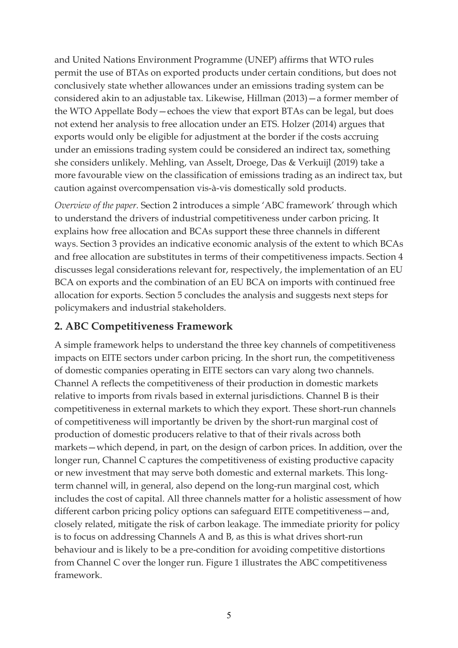and United Nations Environment Programme (UNEP) affirms that WTO rules permit the use of BTAs on exported products under certain conditions, but does not conclusively state whether allowances under an emissions trading system can be considered akin to an adjustable tax. Likewise, Hillman (2013)—a former member of the WTO Appellate Body—echoes the view that export BTAs can be legal, but does not extend her analysis to free allocation under an ETS. Holzer (2014) argues that exports would only be eligible for adjustment at the border if the costs accruing under an emissions trading system could be considered an indirect tax, something she considers unlikely. Mehling, van Asselt, Droege, Das & Verkuijl (2019) take a more favourable view on the classification of emissions trading as an indirect tax, but caution against overcompensation vis-à-vis domestically sold products.

*Overview of the paper.* Section 2 introduces a simple 'ABC framework' through which to understand the drivers of industrial competitiveness under carbon pricing. It explains how free allocation and BCAs support these three channels in different ways. Section 3 provides an indicative economic analysis of the extent to which BCAs and free allocation are substitutes in terms of their competitiveness impacts. Section 4 discusses legal considerations relevant for, respectively, the implementation of an EU BCA on exports and the combination of an EU BCA on imports with continued free allocation for exports. Section 5 concludes the analysis and suggests next steps for policymakers and industrial stakeholders.

#### **2. ABC Competitiveness Framework**

A simple framework helps to understand the three key channels of competitiveness impacts on EITE sectors under carbon pricing. In the short run, the competitiveness of domestic companies operating in EITE sectors can vary along two channels. Channel A reflects the competitiveness of their production in domestic markets relative to imports from rivals based in external jurisdictions. Channel B is their competitiveness in external markets to which they export. These short-run channels of competitiveness will importantly be driven by the short-run marginal cost of production of domestic producers relative to that of their rivals across both markets—which depend, in part, on the design of carbon prices. In addition, over the longer run, Channel C captures the competitiveness of existing productive capacity or new investment that may serve both domestic and external markets. This longterm channel will, in general, also depend on the long-run marginal cost, which includes the cost of capital. All three channels matter for a holistic assessment of how different carbon pricing policy options can safeguard EITE competitiveness – and, closely related, mitigate the risk of carbon leakage. The immediate priority for policy is to focus on addressing Channels A and B, as this is what drives short-run behaviour and is likely to be a pre-condition for avoiding competitive distortions from Channel C over the longer run. Figure 1 illustrates the ABC competitiveness framework.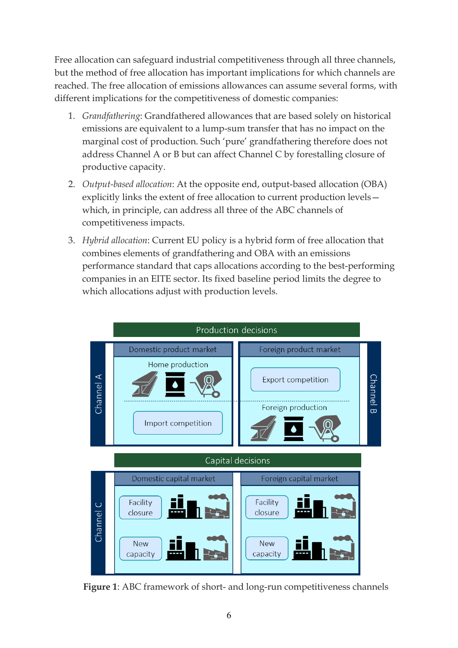Free allocation can safeguard industrial competitiveness through all three channels, but the method of free allocation has important implications for which channels are reached. The free allocation of emissions allowances can assume several forms, with different implications for the competitiveness of domestic companies:

- 1. *Grandfathering*: Grandfathered allowances that are based solely on historical emissions are equivalent to a lump-sum transfer that has no impact on the marginal cost of production. Such 'pure' grandfathering therefore does not address Channel A or B but can affect Channel C by forestalling closure of productive capacity.
- 2. *Output-based allocation*: At the opposite end, output-based allocation (OBA) explicitly links the extent of free allocation to current production levels which, in principle, can address all three of the ABC channels of competitiveness impacts.
- 3. *Hybrid allocation*: Current EU policy is a hybrid form of free allocation that combines elements of grandfathering and OBA with an emissions performance standard that caps allocations according to the best-performing companies in an EITE sector. Its fixed baseline period limits the degree to which allocations adjust with production levels.



**Figure 1**: ABC framework of short- and long-run competitiveness channels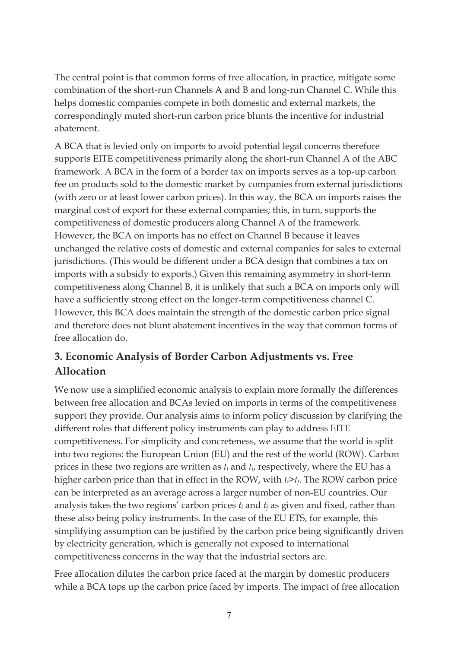The central point is that common forms of free allocation, in practice, mitigate some combination of the short-run Channels A and B and long-run Channel C. While this helps domestic companies compete in both domestic and external markets, the correspondingly muted short-run carbon price blunts the incentive for industrial abatement.

A BCA that is levied only on imports to avoid potential legal concerns therefore supports EITE competitiveness primarily along the short-run Channel A of the ABC framework. A BCA in the form of a border tax on imports serves as a top-up carbon fee on products sold to the domestic market by companies from external jurisdictions (with zero or at least lower carbon prices). In this way, the BCA on imports raises the marginal cost of export for these external companies; this, in turn, supports the competitiveness of domestic producers along Channel A of the framework. However, the BCA on imports has no effect on Channel B because it leaves unchanged the relative costs of domestic and external companies for sales to external jurisdictions. (This would be different under a BCA design that combines a tax on imports with a subsidy to exports.) Given this remaining asymmetry in short-term competitiveness along Channel B, it is unlikely that such a BCA on imports only will have a sufficiently strong effect on the longer-term competitiveness channel C. However, this BCA does maintain the strength of the domestic carbon price signal and therefore does not blunt abatement incentives in the way that common forms of free allocation do.

## **3. Economic Analysis of Border Carbon Adjustments vs. Free Allocation**

We now use a simplified economic analysis to explain more formally the differences between free allocation and BCAs levied on imports in terms of the competitiveness support they provide. Our analysis aims to inform policy discussion by clarifying the different roles that different policy instruments can play to address EITE competitiveness. For simplicity and concreteness, we assume that the world is split into two regions: the European Union (EU) and the rest of the world (ROW). Carbon prices in these two regions are written as *ti* and *tj*, respectively, where the EU has a higher carbon price than that in effect in the ROW, with *ti*>*tj*. The ROW carbon price can be interpreted as an average across a larger number of non-EU countries. Our analysis takes the two regions' carbon prices *ti* and *tj* as given and fixed, rather than these also being policy instruments. In the case of the EU ETS, for example, this simplifying assumption can be justified by the carbon price being significantly driven by electricity generation, which is generally not exposed to international competitiveness concerns in the way that the industrial sectors are.

Free allocation dilutes the carbon price faced at the margin by domestic producers while a BCA tops up the carbon price faced by imports. The impact of free allocation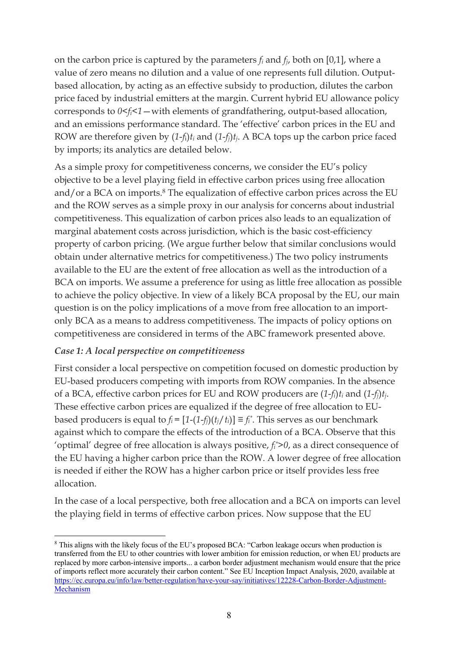on the carbon price is captured by the parameters *fi* and *fj*, both on [0,1], where a value of zero means no dilution and a value of one represents full dilution. Outputbased allocation, by acting as an effective subsidy to production, dilutes the carbon price faced by industrial emitters at the margin. Current hybrid EU allowance policy corresponds to *0*<*fi*<*1*—with elements of grandfathering, output-based allocation, and an emissions performance standard. The 'effective' carbon prices in the EU and ROW are therefore given by  $(1-f_i)t_i$  and  $(1-f_i)t_j$ . A BCA tops up the carbon price faced by imports; its analytics are detailed below.

As a simple proxy for competitiveness concerns, we consider the EU's policy objective to be a level playing field in effective carbon prices using free allocation and/or a BCA on imports.<sup>8</sup> The equalization of effective carbon prices across the EU and the ROW serves as a simple proxy in our analysis for concerns about industrial competitiveness. This equalization of carbon prices also leads to an equalization of marginal abatement costs across jurisdiction, which is the basic cost-efficiency property of carbon pricing. (We argue further below that similar conclusions would obtain under alternative metrics for competitiveness.) The two policy instruments available to the EU are the extent of free allocation as well as the introduction of a BCA on imports. We assume a preference for using as little free allocation as possible to achieve the policy objective. In view of a likely BCA proposal by the EU, our main question is on the policy implications of a move from free allocation to an importonly BCA as a means to address competitiveness. The impacts of policy options on competitiveness are considered in terms of the ABC framework presented above.

#### *Case 1: A local perspective on competitiveness*

First consider a local perspective on competition focused on domestic production by EU-based producers competing with imports from ROW companies. In the absence of a BCA, effective carbon prices for EU and ROW producers are (*1*-*fi*)*ti* and (*1*-*fj*)*tj*. These effective carbon prices are equalized if the degree of free allocation to EUbased producers is equal to  $f_i = [1-(1-f_j)(t_j/t_i)] \equiv f_i^*$ . This serves as our benchmark against which to compare the effects of the introduction of a BCA. Observe that this 'optimal' degree of free allocation is always positive, *fi \** >*0*, as a direct consequence of the EU having a higher carbon price than the ROW. A lower degree of free allocation is needed if either the ROW has a higher carbon price or itself provides less free allocation.

In the case of a local perspective, both free allocation and a BCA on imports can level the playing field in terms of effective carbon prices. Now suppose that the EU

 <sup>8</sup> This aligns with the likely focus of the EU's proposed BCA: "Carbon leakage occurs when production is transferred from the EU to other countries with lower ambition for emission reduction, or when EU products are replaced by more carbon-intensive imports... a carbon border adjustment mechanism would ensure that the price of imports reflect more accurately their carbon content." See EU Inception Impact Analysis, 2020, available at https://ec.europa.eu/info/law/better-regulation/have-your-say/initiatives/12228-Carbon-Border-Adjustment-Mechanism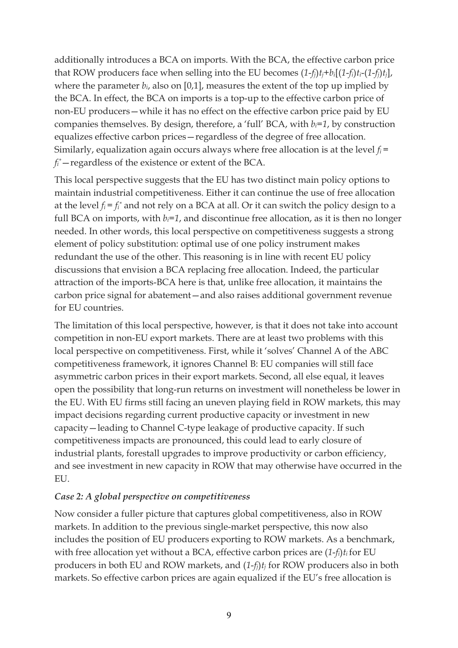additionally introduces a BCA on imports. With the BCA, the effective carbon price that ROW producers face when selling into the EU becomes  $(1-f_j)t_j+b_i[(1-f_i)t_i-(1-f_j)t_j]$ , where the parameter *bi*, also on [0,1], measures the extent of the top up implied by the BCA. In effect, the BCA on imports is a top-up to the effective carbon price of non-EU producers—while it has no effect on the effective carbon price paid by EU companies themselves. By design, therefore, a 'full' BCA, with  $b_i=1$ , by construction equalizes effective carbon prices—regardless of the degree of free allocation. Similarly, equalization again occurs always where free allocation is at the level *fi* = *fi \** —regardless of the existence or extent of the BCA.

This local perspective suggests that the EU has two distinct main policy options to maintain industrial competitiveness. Either it can continue the use of free allocation at the level  $f_i = f_i^*$  and not rely on a BCA at all. Or it can switch the policy design to a full BCA on imports, with  $b_i=1$ , and discontinue free allocation, as it is then no longer needed. In other words, this local perspective on competitiveness suggests a strong element of policy substitution: optimal use of one policy instrument makes redundant the use of the other. This reasoning is in line with recent EU policy discussions that envision a BCA replacing free allocation. Indeed, the particular attraction of the imports-BCA here is that, unlike free allocation, it maintains the carbon price signal for abatement—and also raises additional government revenue for EU countries.

The limitation of this local perspective, however, is that it does not take into account competition in non-EU export markets. There are at least two problems with this local perspective on competitiveness. First, while it 'solves' Channel A of the ABC competitiveness framework, it ignores Channel B: EU companies will still face asymmetric carbon prices in their export markets. Second, all else equal, it leaves open the possibility that long-run returns on investment will nonetheless be lower in the EU. With EU firms still facing an uneven playing field in ROW markets, this may impact decisions regarding current productive capacity or investment in new capacity—leading to Channel C-type leakage of productive capacity. If such competitiveness impacts are pronounced, this could lead to early closure of industrial plants, forestall upgrades to improve productivity or carbon efficiency, and see investment in new capacity in ROW that may otherwise have occurred in the EU.

#### *Case 2: A global perspective on competitiveness*

Now consider a fuller picture that captures global competitiveness, also in ROW markets. In addition to the previous single-market perspective, this now also includes the position of EU producers exporting to ROW markets. As a benchmark, with free allocation yet without a BCA, effective carbon prices are (*1*-*fi*)*ti* for EU producers in both EU and ROW markets, and (*1*-*fj*)*tj* for ROW producers also in both markets. So effective carbon prices are again equalized if the EU's free allocation is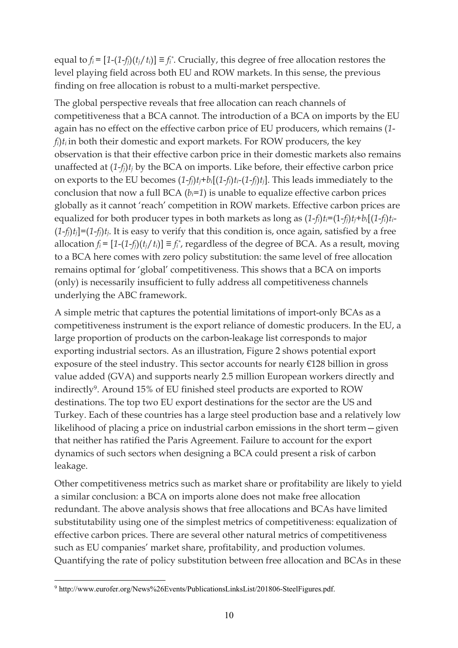equal to  $f_i = [1-(1-f_i)(t_i/t_i)] \equiv f_i^*$ . Crucially, this degree of free allocation restores the level playing field across both EU and ROW markets. In this sense, the previous finding on free allocation is robust to a multi-market perspective.

The global perspective reveals that free allocation can reach channels of competitiveness that a BCA cannot. The introduction of a BCA on imports by the EU again has no effect on the effective carbon price of EU producers, which remains (*1*  $f_i$ ) $t_i$  in both their domestic and export markets. For ROW producers, the key observation is that their effective carbon price in their domestic markets also remains unaffected at  $(1-f<sub>i</sub>)t<sub>i</sub>$  by the BCA on imports. Like before, their effective carbon price on exports to the EU becomes  $(1-f_i)t_i+b_i[(1-f_i)t_i-(1-f_i)t_i]$ . This leads immediately to the conclusion that now a full BCA  $(b_i=1)$  is unable to equalize effective carbon prices globally as it cannot 'reach' competition in ROW markets. Effective carbon prices are equalized for both producer types in both markets as long as (*1*-*fi*)*ti*=(1-*fj*)*tj*+*bi*[(*1*-*fi*)*ti*-  $(1-f<sub>i</sub>)t<sub>i</sub>$  =  $(1-f<sub>i</sub>)t<sub>i</sub>$ . It is easy to verify that this condition is, once again, satisfied by a free allocation  $f_i = [1-(1-f_i)(t_j/t_i)] \equiv f_i^*$ , regardless of the degree of BCA. As a result, moving to a BCA here comes with zero policy substitution: the same level of free allocation remains optimal for 'global' competitiveness. This shows that a BCA on imports (only) is necessarily insufficient to fully address all competitiveness channels underlying the ABC framework.

A simple metric that captures the potential limitations of import-only BCAs as a competitiveness instrument is the export reliance of domestic producers. In the EU, a large proportion of products on the carbon-leakage list corresponds to major exporting industrial sectors. As an illustration, Figure 2 shows potential export exposure of the steel industry. This sector accounts for nearly  $E128$  billion in gross value added (GVA) and supports nearly 2.5 million European workers directly and indirectly<sup>9</sup>. Around 15% of EU finished steel products are exported to ROW destinations. The top two EU export destinations for the sector are the US and Turkey. Each of these countries has a large steel production base and a relatively low likelihood of placing a price on industrial carbon emissions in the short term—given that neither has ratified the Paris Agreement. Failure to account for the export dynamics of such sectors when designing a BCA could present a risk of carbon leakage.

Other competitiveness metrics such as market share or profitability are likely to yield a similar conclusion: a BCA on imports alone does not make free allocation redundant. The above analysis shows that free allocations and BCAs have limited substitutability using one of the simplest metrics of competitiveness: equalization of effective carbon prices. There are several other natural metrics of competitiveness such as EU companies' market share, profitability, and production volumes. Quantifying the rate of policy substitution between free allocation and BCAs in these

 <sup>9</sup> http://www.eurofer.org/News%26Events/PublicationsLinksList/201806-SteelFigures.pdf.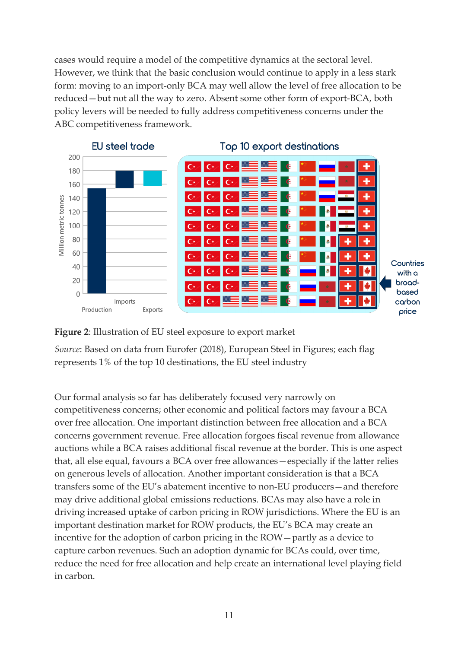cases would require a model of the competitive dynamics at the sectoral level. However, we think that the basic conclusion would continue to apply in a less stark form: moving to an import-only BCA may well allow the level of free allocation to be reduced—but not all the way to zero. Absent some other form of export-BCA, both policy levers will be needed to fully address competitiveness concerns under the ABC competitiveness framework.





*Source*: Based on data from Eurofer (2018), European Steel in Figures; each flag represents 1% of the top 10 destinations, the EU steel industry

Our formal analysis so far has deliberately focused very narrowly on competitiveness concerns; other economic and political factors may favour a BCA over free allocation. One important distinction between free allocation and a BCA concerns government revenue. Free allocation forgoes fiscal revenue from allowance auctions while a BCA raises additional fiscal revenue at the border. This is one aspect that, all else equal, favours a BCA over free allowances—especially if the latter relies on generous levels of allocation. Another important consideration is that a BCA transfers some of the EU's abatement incentive to non-EU producers—and therefore may drive additional global emissions reductions. BCAs may also have a role in driving increased uptake of carbon pricing in ROW jurisdictions. Where the EU is an important destination market for ROW products, the EU's BCA may create an incentive for the adoption of carbon pricing in the ROW—partly as a device to capture carbon revenues. Such an adoption dynamic for BCAs could, over time, reduce the need for free allocation and help create an international level playing field in carbon.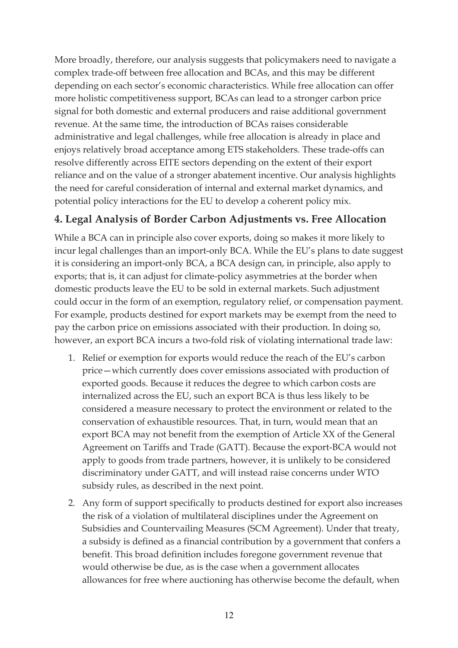More broadly, therefore, our analysis suggests that policymakers need to navigate a complex trade-off between free allocation and BCAs, and this may be different depending on each sector's economic characteristics. While free allocation can offer more holistic competitiveness support, BCAs can lead to a stronger carbon price signal for both domestic and external producers and raise additional government revenue. At the same time, the introduction of BCAs raises considerable administrative and legal challenges, while free allocation is already in place and enjoys relatively broad acceptance among ETS stakeholders. These trade-offs can resolve differently across EITE sectors depending on the extent of their export reliance and on the value of a stronger abatement incentive. Our analysis highlights the need for careful consideration of internal and external market dynamics, and potential policy interactions for the EU to develop a coherent policy mix.

#### **4. Legal Analysis of Border Carbon Adjustments vs. Free Allocation**

While a BCA can in principle also cover exports, doing so makes it more likely to incur legal challenges than an import-only BCA. While the EU's plans to date suggest it is considering an import-only BCA, a BCA design can, in principle, also apply to exports; that is, it can adjust for climate-policy asymmetries at the border when domestic products leave the EU to be sold in external markets. Such adjustment could occur in the form of an exemption, regulatory relief, or compensation payment. For example, products destined for export markets may be exempt from the need to pay the carbon price on emissions associated with their production. In doing so, however, an export BCA incurs a two-fold risk of violating international trade law:

- 1. Relief or exemption for exports would reduce the reach of the EU's carbon price—which currently does cover emissions associated with production of exported goods. Because it reduces the degree to which carbon costs are internalized across the EU, such an export BCA is thus less likely to be considered a measure necessary to protect the environment or related to the conservation of exhaustible resources. That, in turn, would mean that an export BCA may not benefit from the exemption of Article XX of the General Agreement on Tariffs and Trade (GATT). Because the export-BCA would not apply to goods from trade partners, however, it is unlikely to be considered discriminatory under GATT, and will instead raise concerns under WTO subsidy rules, as described in the next point.
- 2. Any form of support specifically to products destined for export also increases the risk of a violation of multilateral disciplines under the Agreement on Subsidies and Countervailing Measures (SCM Agreement). Under that treaty, a subsidy is defined as a financial contribution by a government that confers a benefit. This broad definition includes foregone government revenue that would otherwise be due, as is the case when a government allocates allowances for free where auctioning has otherwise become the default, when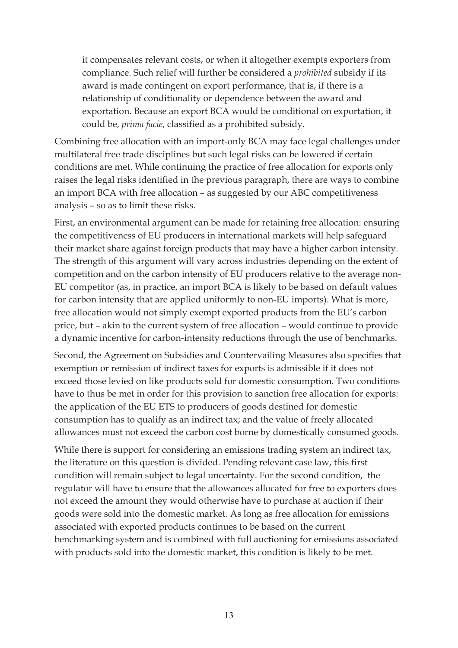it compensates relevant costs, or when it altogether exempts exporters from compliance. Such relief will further be considered a *prohibited* subsidy if its award is made contingent on export performance, that is, if there is a relationship of conditionality or dependence between the award and exportation. Because an export BCA would be conditional on exportation, it could be, *prima facie*, classified as a prohibited subsidy.

Combining free allocation with an import-only BCA may face legal challenges under multilateral free trade disciplines but such legal risks can be lowered if certain conditions are met. While continuing the practice of free allocation for exports only raises the legal risks identified in the previous paragraph, there are ways to combine an import BCA with free allocation – as suggested by our ABC competitiveness analysis – so as to limit these risks.

First, an environmental argument can be made for retaining free allocation: ensuring the competitiveness of EU producers in international markets will help safeguard their market share against foreign products that may have a higher carbon intensity. The strength of this argument will vary across industries depending on the extent of competition and on the carbon intensity of EU producers relative to the average non-EU competitor (as, in practice, an import BCA is likely to be based on default values for carbon intensity that are applied uniformly to non-EU imports). What is more, free allocation would not simply exempt exported products from the EU's carbon price, but – akin to the current system of free allocation – would continue to provide a dynamic incentive for carbon-intensity reductions through the use of benchmarks.

Second, the Agreement on Subsidies and Countervailing Measures also specifies that exemption or remission of indirect taxes for exports is admissible if it does not exceed those levied on like products sold for domestic consumption. Two conditions have to thus be met in order for this provision to sanction free allocation for exports: the application of the EU ETS to producers of goods destined for domestic consumption has to qualify as an indirect tax; and the value of freely allocated allowances must not exceed the carbon cost borne by domestically consumed goods.

While there is support for considering an emissions trading system an indirect tax, the literature on this question is divided. Pending relevant case law, this first condition will remain subject to legal uncertainty. For the second condition, the regulator will have to ensure that the allowances allocated for free to exporters does not exceed the amount they would otherwise have to purchase at auction if their goods were sold into the domestic market. As long as free allocation for emissions associated with exported products continues to be based on the current benchmarking system and is combined with full auctioning for emissions associated with products sold into the domestic market, this condition is likely to be met.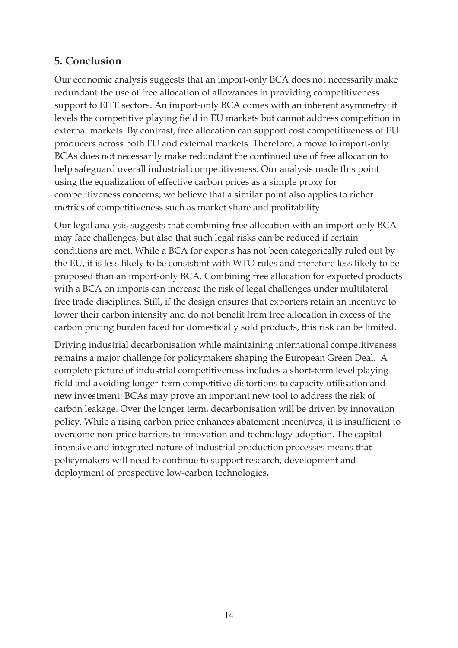## **5. Conclusion**

Our economic analysis suggests that an import-only BCA does not necessarily make redundant the use of free allocation of allowances in providing competitiveness support to EITE sectors. An import-only BCA comes with an inherent asymmetry: it levels the competitive playing field in EU markets but cannot address competition in external markets. By contrast, free allocation can support cost competitiveness of EU producers across both EU and external markets. Therefore, a move to import-only BCAs does not necessarily make redundant the continued use of free allocation to help safeguard overall industrial competitiveness. Our analysis made this point using the equalization of effective carbon prices as a simple proxy for competitiveness concerns; we believe that a similar point also applies to richer metrics of competitiveness such as market share and profitability.

Our legal analysis suggests that combining free allocation with an import-only BCA may face challenges, but also that such legal risks can be reduced if certain conditions are met. While a BCA for exports has not been categorically ruled out by the EU, it is less likely to be consistent with WTO rules and therefore less likely to be proposed than an import-only BCA. Combining free allocation for exported products with a BCA on imports can increase the risk of legal challenges under multilateral free trade disciplines. Still, if the design ensures that exporters retain an incentive to lower their carbon intensity and do not benefit from free allocation in excess of the carbon pricing burden faced for domestically sold products, this risk can be limited.

Driving industrial decarbonisation while maintaining international competitiveness remains a major challenge for policymakers shaping the European Green Deal. A complete picture of industrial competitiveness includes a short-term level playing field and avoiding longer-term competitive distortions to capacity utilisation and new investment. BCAs may prove an important new tool to address the risk of carbon leakage. Over the longer term, decarbonisation will be driven by innovation policy. While a rising carbon price enhances abatement incentives, it is insufficient to overcome non-price barriers to innovation and technology adoption. The capitalintensive and integrated nature of industrial production processes means that policymakers will need to continue to support research, development and deployment of prospective low-carbon technologies**.**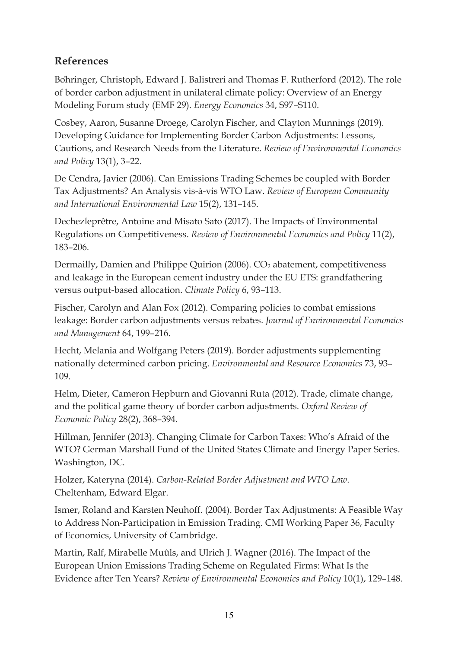## **References**

Böhringer, Christoph, Edward J. Balistreri and Thomas F. Rutherford (2012). The role of border carbon adjustment in unilateral climate policy: Overview of an Energy Modeling Forum study (EMF 29). *Energy Economics* 34, S97–S110.

Cosbey, Aaron, Susanne Droege, Carolyn Fischer, and Clayton Munnings (2019). Developing Guidance for Implementing Border Carbon Adjustments: Lessons, Cautions, and Research Needs from the Literature. *Review of Environmental Economics and Policy* 13(1), 3–22.

De Cendra, Javier (2006). Can Emissions Trading Schemes be coupled with Border Tax Adjustments? An Analysis vis-à-vis WTO Law. *Review of European Community and International Environmental Law* 15(2), 131–145.

Dechezleprêtre, Antoine and Misato Sato (2017). The Impacts of Environmental Regulations on Competitiveness. *Review of Environmental Economics and Policy* 11(2), 183–206.

Dermailly, Damien and Philippe Quirion (2006). CO<sub>2</sub> abatement, competitiveness and leakage in the European cement industry under the EU ETS: grandfathering versus output-based allocation. *Climate Policy* 6, 93–113.

Fischer, Carolyn and Alan Fox (2012). Comparing policies to combat emissions leakage: Border carbon adjustments versus rebates. *Journal of Environmental Economics and Management* 64, 199–216.

Hecht, Melania and Wolfgang Peters (2019). Border adjustments supplementing nationally determined carbon pricing. *Environmental and Resource Economics* 73, 93– 109.

Helm, Dieter, Cameron Hepburn and Giovanni Ruta (2012). Trade, climate change, and the political game theory of border carbon adjustments. *Oxford Review of Economic Policy* 28(2), 368–394.

Hillman, Jennifer (2013). Changing Climate for Carbon Taxes: Who's Afraid of the WTO? German Marshall Fund of the United States Climate and Energy Paper Series. Washington, DC.

Holzer, Kateryna (2014). *Carbon-Related Border Adjustment and WTO Law*. Cheltenham, Edward Elgar.

Ismer, Roland and Karsten Neuhoff. (2004). Border Tax Adjustments: A Feasible Way to Address Non-Participation in Emission Trading. CMI Working Paper 36, Faculty of Economics, University of Cambridge.

Martin, Ralf, Mirabelle Muûls, and Ulrich J. Wagner (2016). The Impact of the European Union Emissions Trading Scheme on Regulated Firms: What Is the Evidence after Ten Years? *Review of Environmental Economics and Policy* 10(1), 129–148.